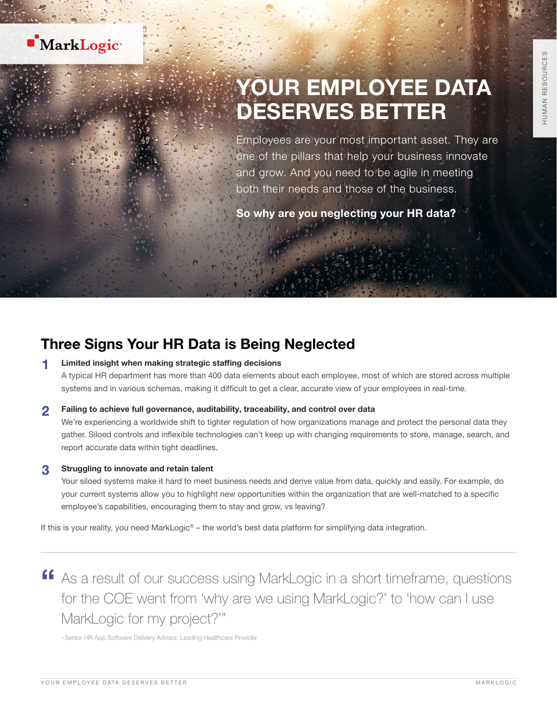

# YOUR EMPLOYEE DATA DESERVES BETTER

Employees are your most important asset. They are one of the pillars that help your business innovate and grow. And you need to be agile in meeting both their needs and those of the business.

So why are you neglecting your HR data?

### Three Signs Your HR Data is Being Neglected

#### Limited insight when making strategic staffing decisions

A typical HR department has more than 400 data elements about each employee, most of which are stored across multiple systems and in various schemas, making it difficult to get a clear, accurate view of your employees in real-time.

#### 2 Failing to achieve full governance, auditability, traceability, and control over data

We're experiencing a worldwide shift to tighter regulation of how organizations manage and protect the personal data they gather. Siloed controls and inflexible technologies can't keep up with changing requirements to store, manage, search, and report accurate data within tight deadlines.

#### 3 Struggling to innovate and retain talent

Your siloed systems make it hard to meet business needs and derive value from data, quickly and easily. For example, do your current systems allow you to highlight new opportunities within the organization that are well-matched to a specific employee's capabilities, encouraging them to stay and grow, vs leaving?

If this is your reality, you need MarkLogic® – the world's best data platform for simplifying data integration.

**"** As a result of our success using MarkLogic in a short timeframe, questions for the COE went from 'why are we using MarkLogic?' to 'how can I use MarkLogic for my project?'"

–Senior HR App Software Delivery Advisor, Leading Healthcare Provider